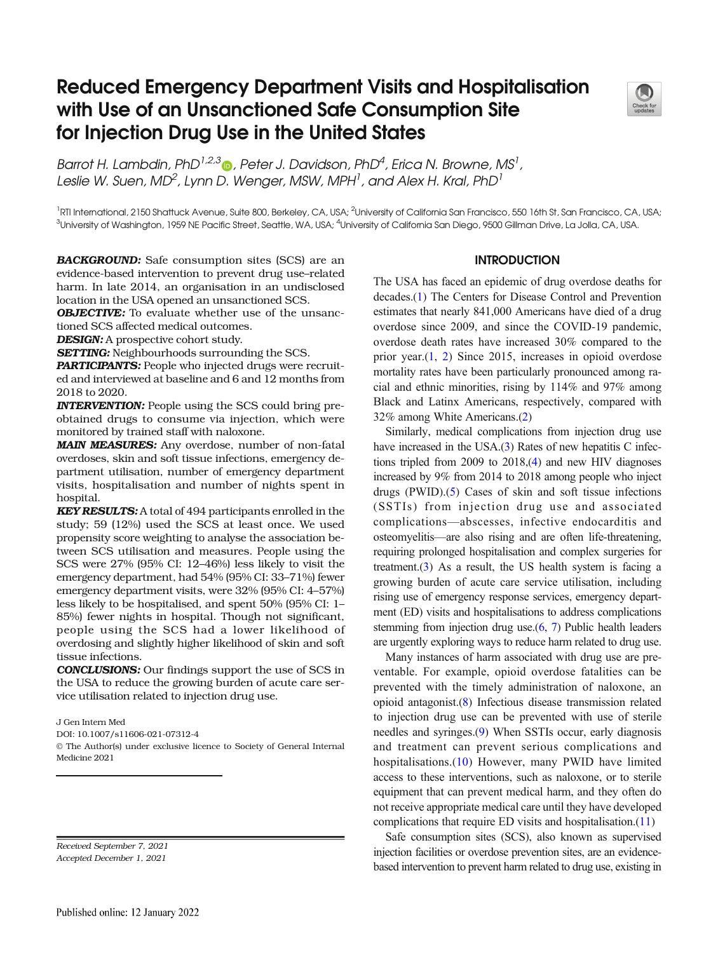# Reduced Emergency Department Visits and Hospitalisation with Use of an Unsanctioned Safe Consumption Site for Injection Drug Use in the United States



Barrot H. Lambdin[,](http://orcid.org/0000-0001-8546-0126) PhD $^{1,2,3}$  , Peter J. Davidson, PhD $^4$ , Erica N. Browne, MS $^1$ , Leslie W. Suen, MD $^2$ , Lynn D. Wenger, MSW, MPH $^{\rm l}$ , and Alex H. Kral, PhD $^{\rm l}$ 

1 RTI International, 2150 Shattuck Avenue, Suite 800, Berkeley, CA, USA; <sup>2</sup>  $^3$ University of Washington, 1959 NE Pacific Street, Seattle, WA, USA;  $^4$ University of California San Diego, 9500 Gillman Drive, La Jolla, CA, USA.

BACKGROUND: Safe consumption sites (SCS) are an evidence-based intervention to prevent drug use–related harm. In late 2014, an organisation in an undisclosed location in the USA opened an unsanctioned SCS.

**OBJECTIVE:** To evaluate whether use of the unsanctioned SCS affected medical outcomes.

**DESIGN:** A prospective cohort study.

**SETTING:** Neighbourhoods surrounding the SCS.

PARTICIPANTS: People who injected drugs were recruited and interviewed at baseline and 6 and 12 months from 2018 to 2020.

INTERVENTION: People using the SCS could bring preobtained drugs to consume via injection, which were monitored by trained staff with naloxone.

MAIN MEASURES: Any overdose, number of non-fatal overdoses, skin and soft tissue infections, emergency department utilisation, number of emergency department visits, hospitalisation and number of nights spent in hospital.

KEY RESULTS: A total of 494 participants enrolled in the study; 59 (12%) used the SCS at least once. We used propensity score weighting to analyse the association between SCS utilisation and measures. People using the SCS were 27% (95% CI: 12–46%) less likely to visit the emergency department, had 54% (95% CI: 33–71%) fewer emergency department visits, were 32% (95% CI: 4–57%) less likely to be hospitalised, and spent 50% (95% CI: 1– 85%) fewer nights in hospital. Though not significant, people using the SCS had a lower likelihood of overdosing and slightly higher likelihood of skin and soft tissue infections.

CONCLUSIONS: Our findings support the use of SCS in the USA to reduce the growing burden of acute care service utilisation related to injection drug use.

J Gen Intern Med

DOI: 10.1007/s11606-021-07312-4

© The Author(s) under exclusive licence to Society of General Internal Medicine 2021

Received September 7, 2021 Accepted December 1, 2021

## **INTRODUCTION**

The USA has faced an epidemic of drug overdose deaths for decades.[\(1\)](#page-6-0) The Centers for Disease Control and Prevention estimates that nearly 841,000 Americans have died of a drug overdose since 2009, and since the COVID-19 pandemic, overdose death rates have increased 30% compared to the prior year.([1](#page-6-0), [2](#page-6-0)) Since 2015, increases in opioid overdose mortality rates have been particularly pronounced among racial and ethnic minorities, rising by 114% and 97% among Black and Latinx Americans, respectively, compared with 32% among White Americans.[\(2](#page-6-0))

Similarly, medical complications from injection drug use have increased in the USA.([3](#page-6-0)) Rates of new hepatitis C infections tripled from 2009 to 2018,[\(4](#page-6-0)) and new HIV diagnoses increased by 9% from 2014 to 2018 among people who inject drugs (PWID).[\(5](#page-6-0)) Cases of skin and soft tissue infections (SSTIs) from injection drug use and associated complications—abscesses, infective endocarditis and osteomyelitis—are also rising and are often life-threatening, requiring prolonged hospitalisation and complex surgeries for treatment. $(3)$  $(3)$  As a result, the US health system is facing a growing burden of acute care service utilisation, including rising use of emergency response services, emergency department (ED) visits and hospitalisations to address complications stemming from injection drug use.[\(6,](#page-6-0) [7](#page-6-0)) Public health leaders are urgently exploring ways to reduce harm related to drug use.

Many instances of harm associated with drug use are preventable. For example, opioid overdose fatalities can be prevented with the timely administration of naloxone, an opioid antagonist.([8\)](#page-6-0) Infectious disease transmission related to injection drug use can be prevented with use of sterile needles and syringes.[\(9](#page-6-0)) When SSTIs occur, early diagnosis and treatment can prevent serious complications and hospitalisations.([10\)](#page-6-0) However, many PWID have limited access to these interventions, such as naloxone, or to sterile equipment that can prevent medical harm, and they often do not receive appropriate medical care until they have developed complications that require ED visits and hospitalisation.([11](#page-6-0))

Safe consumption sites (SCS), also known as supervised injection facilities or overdose prevention sites, are an evidencebased intervention to prevent harm related to drug use, existing in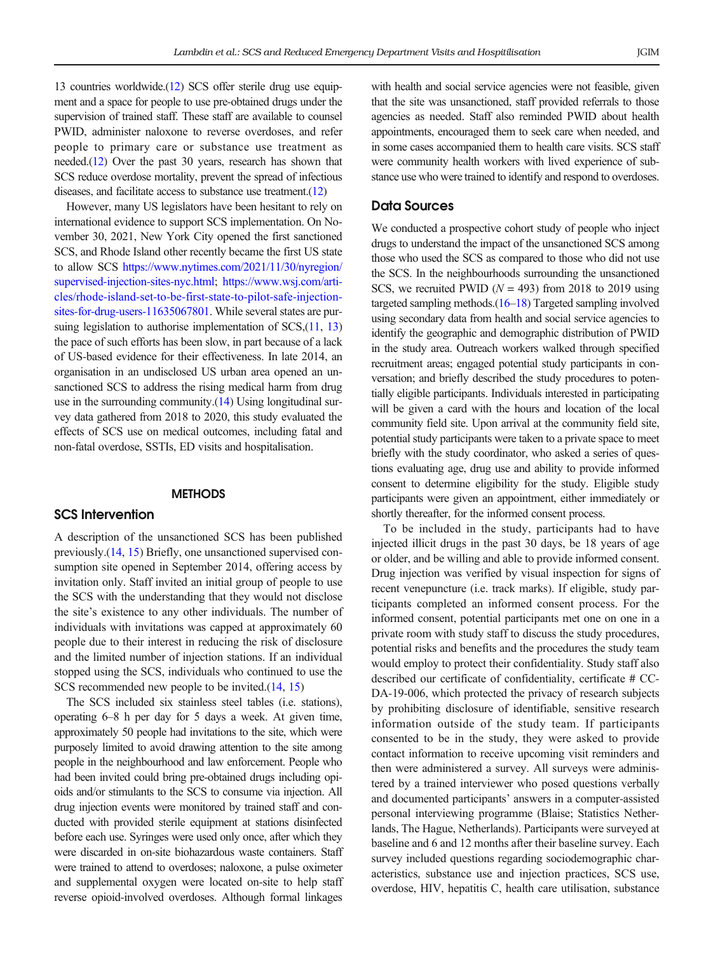13 countries worldwide.[\(12\)](#page-6-0) SCS offer sterile drug use equipment and a space for people to use pre-obtained drugs under the supervision of trained staff. These staff are available to counsel PWID, administer naloxone to reverse overdoses, and refer people to primary care or substance use treatment as needed.([12](#page-6-0)) Over the past 30 years, research has shown that SCS reduce overdose mortality, prevent the spread of infectious diseases, and facilitate access to substance use treatment.[\(12](#page-6-0))

However, many US legislators have been hesitant to rely on international evidence to support SCS implementation. On November 30, 2021, New York City opened the first sanctioned SCS, and Rhode Island other recently became the first US state to allow SCS [https://www.nytimes.com/2021/11/30/nyregion/](https://www.nytimes.com/2021/11/30/nyregion/supervised-injection-sites-nyc.html) [supervised-injection-sites-nyc.html;](https://www.nytimes.com/2021/11/30/nyregion/supervised-injection-sites-nyc.html) [https://www.wsj.com/arti](https://www.wsj.com/articles/rhode-island-set-to-be-first-state-to-pilot-safe-injection-sites-for-drug-users-11635067801)[cles/rhode-island-set-to-be-first-state-to-pilot-safe-injection](https://www.wsj.com/articles/rhode-island-set-to-be-first-state-to-pilot-safe-injection-sites-for-drug-users-11635067801)[sites-for-drug-users-11635067801.](https://www.wsj.com/articles/rhode-island-set-to-be-first-state-to-pilot-safe-injection-sites-for-drug-users-11635067801) While several states are pur-suing legislation to authorise implementation of SCS,[\(11,](#page-6-0) [13\)](#page-6-0) the pace of such efforts has been slow, in part because of a lack of US-based evidence for their effectiveness. In late 2014, an organisation in an undisclosed US urban area opened an unsanctioned SCS to address the rising medical harm from drug use in the surrounding community.[\(14\)](#page-6-0) Using longitudinal survey data gathered from 2018 to 2020, this study evaluated the effects of SCS use on medical outcomes, including fatal and non-fatal overdose, SSTIs, ED visits and hospitalisation.

# **METHODS**

# SCS Intervention

A description of the unsanctioned SCS has been published previously.[\(14](#page-6-0), [15\)](#page-6-0) Briefly, one unsanctioned supervised consumption site opened in September 2014, offering access by invitation only. Staff invited an initial group of people to use the SCS with the understanding that they would not disclose the site's existence to any other individuals. The number of individuals with invitations was capped at approximately 60 people due to their interest in reducing the risk of disclosure and the limited number of injection stations. If an individual stopped using the SCS, individuals who continued to use the SCS recommended new people to be invited.([14](#page-6-0), [15](#page-6-0))

The SCS included six stainless steel tables (i.e. stations), operating 6–8 h per day for 5 days a week. At given time, approximately 50 people had invitations to the site, which were purposely limited to avoid drawing attention to the site among people in the neighbourhood and law enforcement. People who had been invited could bring pre-obtained drugs including opioids and/or stimulants to the SCS to consume via injection. All drug injection events were monitored by trained staff and conducted with provided sterile equipment at stations disinfected before each use. Syringes were used only once, after which they were discarded in on-site biohazardous waste containers. Staff were trained to attend to overdoses; naloxone, a pulse oximeter and supplemental oxygen were located on-site to help staff reverse opioid-involved overdoses. Although formal linkages

with health and social service agencies were not feasible, given that the site was unsanctioned, staff provided referrals to those agencies as needed. Staff also reminded PWID about health appointments, encouraged them to seek care when needed, and in some cases accompanied them to health care visits. SCS staff were community health workers with lived experience of substance use who were trained to identify and respond to overdoses.

## Data Sources

We conducted a prospective cohort study of people who inject drugs to understand the impact of the unsanctioned SCS among those who used the SCS as compared to those who did not use the SCS. In the neighbourhoods surrounding the unsanctioned SCS, we recruited PWID ( $N = 493$ ) from 2018 to 2019 using targeted sampling methods. $(16-18)$  $(16-18)$  $(16-18)$  $(16-18)$  $(16-18)$  Targeted sampling involved using secondary data from health and social service agencies to identify the geographic and demographic distribution of PWID in the study area. Outreach workers walked through specified recruitment areas; engaged potential study participants in conversation; and briefly described the study procedures to potentially eligible participants. Individuals interested in participating will be given a card with the hours and location of the local community field site. Upon arrival at the community field site, potential study participants were taken to a private space to meet briefly with the study coordinator, who asked a series of questions evaluating age, drug use and ability to provide informed consent to determine eligibility for the study. Eligible study participants were given an appointment, either immediately or shortly thereafter, for the informed consent process.

To be included in the study, participants had to have injected illicit drugs in the past 30 days, be 18 years of age or older, and be willing and able to provide informed consent. Drug injection was verified by visual inspection for signs of recent venepuncture (i.e. track marks). If eligible, study participants completed an informed consent process. For the informed consent, potential participants met one on one in a private room with study staff to discuss the study procedures, potential risks and benefits and the procedures the study team would employ to protect their confidentiality. Study staff also described our certificate of confidentiality, certificate # CC-DA-19-006, which protected the privacy of research subjects by prohibiting disclosure of identifiable, sensitive research information outside of the study team. If participants consented to be in the study, they were asked to provide contact information to receive upcoming visit reminders and then were administered a survey. All surveys were administered by a trained interviewer who posed questions verbally and documented participants' answers in a computer-assisted personal interviewing programme (Blaise; Statistics Netherlands, The Hague, Netherlands). Participants were surveyed at baseline and 6 and 12 months after their baseline survey. Each survey included questions regarding sociodemographic characteristics, substance use and injection practices, SCS use, overdose, HIV, hepatitis C, health care utilisation, substance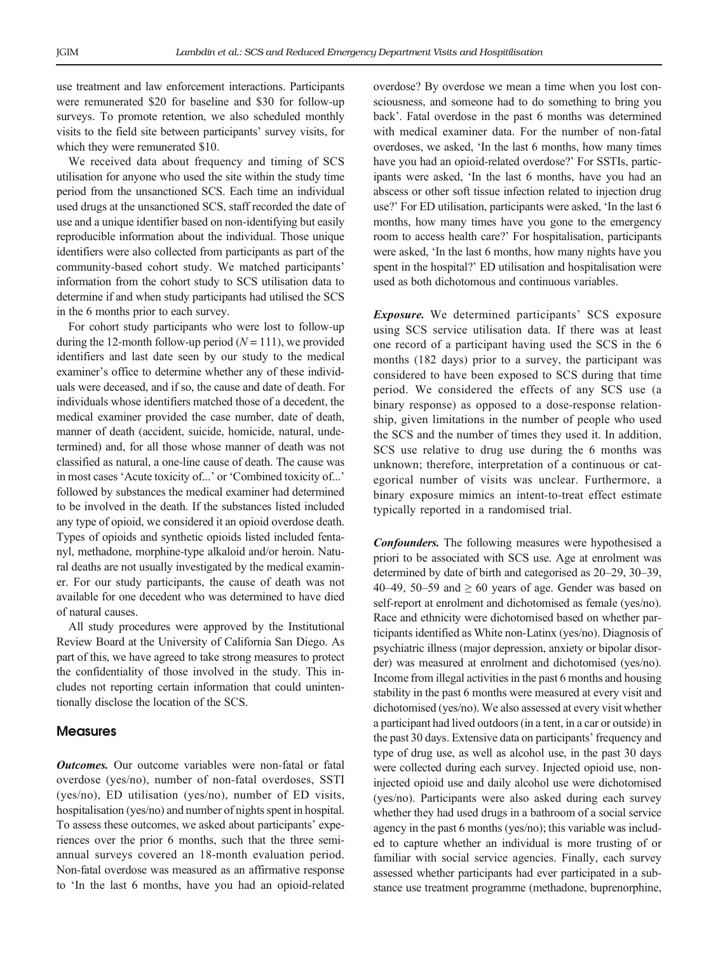use treatment and law enforcement interactions. Participants were remunerated \$20 for baseline and \$30 for follow-up surveys. To promote retention, we also scheduled monthly visits to the field site between participants' survey visits, for which they were remunerated \$10.

We received data about frequency and timing of SCS utilisation for anyone who used the site within the study time period from the unsanctioned SCS. Each time an individual used drugs at the unsanctioned SCS, staff recorded the date of use and a unique identifier based on non-identifying but easily reproducible information about the individual. Those unique identifiers were also collected from participants as part of the community-based cohort study. We matched participants' information from the cohort study to SCS utilisation data to determine if and when study participants had utilised the SCS in the 6 months prior to each survey.

For cohort study participants who were lost to follow-up during the 12-month follow-up period  $(N = 111)$ , we provided identifiers and last date seen by our study to the medical examiner's office to determine whether any of these individuals were deceased, and if so, the cause and date of death. For individuals whose identifiers matched those of a decedent, the medical examiner provided the case number, date of death, manner of death (accident, suicide, homicide, natural, undetermined) and, for all those whose manner of death was not classified as natural, a one-line cause of death. The cause was in most cases 'Acute toxicity of...' or 'Combined toxicity of...' followed by substances the medical examiner had determined to be involved in the death. If the substances listed included any type of opioid, we considered it an opioid overdose death. Types of opioids and synthetic opioids listed included fentanyl, methadone, morphine-type alkaloid and/or heroin. Natural deaths are not usually investigated by the medical examiner. For our study participants, the cause of death was not available for one decedent who was determined to have died of natural causes.

All study procedures were approved by the Institutional Review Board at the University of California San Diego. As part of this, we have agreed to take strong measures to protect the confidentiality of those involved in the study. This includes not reporting certain information that could unintentionally disclose the location of the SCS.

# **Measures**

**Outcomes.** Our outcome variables were non-fatal or fatal overdose (yes/no), number of non-fatal overdoses, SSTI (yes/no), ED utilisation (yes/no), number of ED visits, hospitalisation (yes/no) and number of nights spent in hospital. To assess these outcomes, we asked about participants' experiences over the prior 6 months, such that the three semiannual surveys covered an 18-month evaluation period. Non-fatal overdose was measured as an affirmative response to 'In the last 6 months, have you had an opioid-related overdose? By overdose we mean a time when you lost consciousness, and someone had to do something to bring you back'. Fatal overdose in the past 6 months was determined with medical examiner data. For the number of non-fatal overdoses, we asked, 'In the last 6 months, how many times have you had an opioid-related overdose?' For SSTIs, participants were asked, 'In the last 6 months, have you had an abscess or other soft tissue infection related to injection drug use?' For ED utilisation, participants were asked, 'In the last 6 months, how many times have you gone to the emergency room to access health care?' For hospitalisation, participants were asked, 'In the last 6 months, how many nights have you spent in the hospital?' ED utilisation and hospitalisation were used as both dichotomous and continuous variables.

Exposure. We determined participants' SCS exposure using SCS service utilisation data. If there was at least one record of a participant having used the SCS in the 6 months (182 days) prior to a survey, the participant was considered to have been exposed to SCS during that time period. We considered the effects of any SCS use (a binary response) as opposed to a dose-response relationship, given limitations in the number of people who used the SCS and the number of times they used it. In addition, SCS use relative to drug use during the 6 months was unknown; therefore, interpretation of a continuous or categorical number of visits was unclear. Furthermore, a binary exposure mimics an intent-to-treat effect estimate typically reported in a randomised trial.

Confounders. The following measures were hypothesised a priori to be associated with SCS use. Age at enrolment was determined by date of birth and categorised as 20–29, 30–39, 40–49, 50–59 and  $\geq 60$  years of age. Gender was based on self-report at enrolment and dichotomised as female (yes/no). Race and ethnicity were dichotomised based on whether participants identified as White non-Latinx (yes/no). Diagnosis of psychiatric illness (major depression, anxiety or bipolar disorder) was measured at enrolment and dichotomised (yes/no). Income from illegal activities in the past 6 months and housing stability in the past 6 months were measured at every visit and dichotomised (yes/no). We also assessed at every visit whether a participant had lived outdoors (in a tent, in a car or outside) in the past 30 days. Extensive data on participants' frequency and type of drug use, as well as alcohol use, in the past 30 days were collected during each survey. Injected opioid use, noninjected opioid use and daily alcohol use were dichotomised (yes/no). Participants were also asked during each survey whether they had used drugs in a bathroom of a social service agency in the past 6 months (yes/no); this variable was included to capture whether an individual is more trusting of or familiar with social service agencies. Finally, each survey assessed whether participants had ever participated in a substance use treatment programme (methadone, buprenorphine,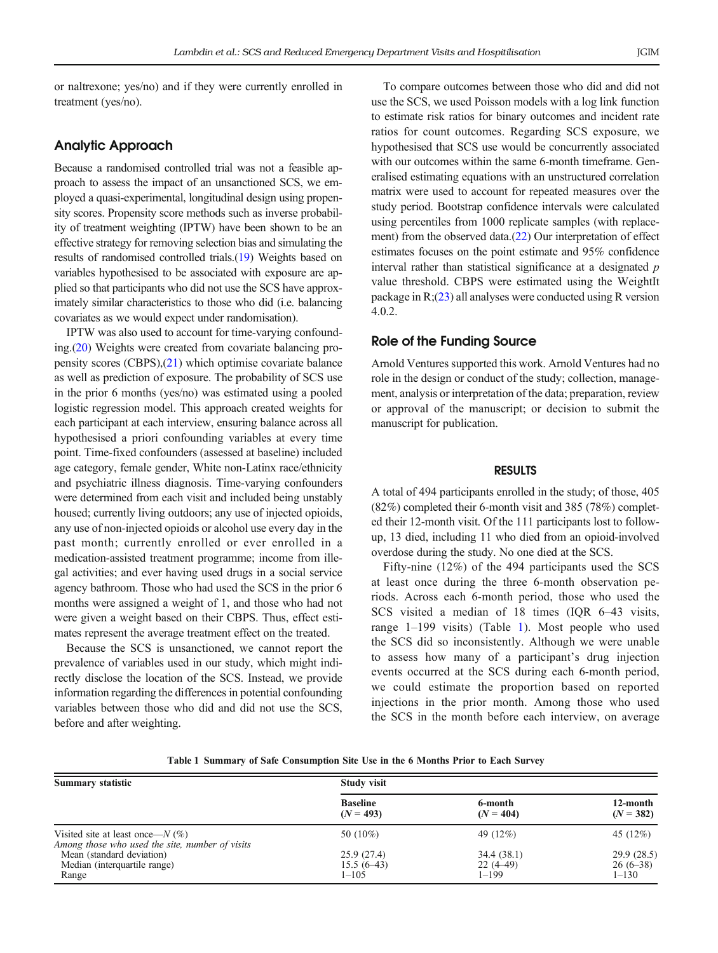or naltrexone; yes/no) and if they were currently enrolled in treatment (yes/no).

# Analytic Approach

Because a randomised controlled trial was not a feasible approach to assess the impact of an unsanctioned SCS, we employed a quasi-experimental, longitudinal design using propensity scores. Propensity score methods such as inverse probability of treatment weighting (IPTW) have been shown to be an effective strategy for removing selection bias and simulating the results of randomised controlled trials.([19](#page-6-0)) Weights based on variables hypothesised to be associated with exposure are applied so that participants who did not use the SCS have approximately similar characteristics to those who did (i.e. balancing covariates as we would expect under randomisation).

IPTW was also used to account for time-varying confounding.[\(20\)](#page-6-0) Weights were created from covariate balancing propensity scores (CBPS),[\(21](#page-6-0)) which optimise covariate balance as well as prediction of exposure. The probability of SCS use in the prior 6 months (yes/no) was estimated using a pooled logistic regression model. This approach created weights for each participant at each interview, ensuring balance across all hypothesised a priori confounding variables at every time point. Time-fixed confounders (assessed at baseline) included age category, female gender, White non-Latinx race/ethnicity and psychiatric illness diagnosis. Time-varying confounders were determined from each visit and included being unstably housed; currently living outdoors; any use of injected opioids, any use of non-injected opioids or alcohol use every day in the past month; currently enrolled or ever enrolled in a medication-assisted treatment programme; income from illegal activities; and ever having used drugs in a social service agency bathroom. Those who had used the SCS in the prior 6 months were assigned a weight of 1, and those who had not were given a weight based on their CBPS. Thus, effect estimates represent the average treatment effect on the treated.

Because the SCS is unsanctioned, we cannot report the prevalence of variables used in our study, which might indirectly disclose the location of the SCS. Instead, we provide information regarding the differences in potential confounding variables between those who did and did not use the SCS, before and after weighting.

To compare outcomes between those who did and did not use the SCS, we used Poisson models with a log link function to estimate risk ratios for binary outcomes and incident rate ratios for count outcomes. Regarding SCS exposure, we hypothesised that SCS use would be concurrently associated with our outcomes within the same 6-month timeframe. Generalised estimating equations with an unstructured correlation matrix were used to account for repeated measures over the study period. Bootstrap confidence intervals were calculated using percentiles from 1000 replicate samples (with replacement) from the observed data.([22](#page-6-0)) Our interpretation of effect estimates focuses on the point estimate and 95% confidence interval rather than statistical significance at a designated  $p$ value threshold. CBPS were estimated using the WeightIt package in R;([23](#page-6-0)) all analyses were conducted using R version 4.0.2.

# Role of the Funding Source

Arnold Ventures supported this work. Arnold Ventures had no role in the design or conduct of the study; collection, management, analysis or interpretation of the data; preparation, review or approval of the manuscript; or decision to submit the manuscript for publication.

### RESULTS

A total of 494 participants enrolled in the study; of those, 405 (82%) completed their 6-month visit and 385 (78%) completed their 12-month visit. Of the 111 participants lost to followup, 13 died, including 11 who died from an opioid-involved overdose during the study. No one died at the SCS.

Fifty-nine (12%) of the 494 participants used the SCS at least once during the three 6-month observation periods. Across each 6-month period, those who used the SCS visited a median of 18 times (IQR 6–43 visits, range 1–199 visits) (Table 1). Most people who used the SCS did so inconsistently. Although we were unable to assess how many of a participant's drug injection events occurred at the SCS during each 6-month period, we could estimate the proportion based on reported injections in the prior month. Among those who used the SCS in the month before each interview, on average

|  | Table 1 Summary of Safe Consumption Site Use in the 6 Months Prior to Each Survey |  |  |  |  |
|--|-----------------------------------------------------------------------------------|--|--|--|--|
|--|-----------------------------------------------------------------------------------|--|--|--|--|

| <b>Summary statistic</b>                                                               | <b>Study visit</b> |             |             |  |
|----------------------------------------------------------------------------------------|--------------------|-------------|-------------|--|
|                                                                                        | <b>Baseline</b>    | 6-month     | 12-month    |  |
|                                                                                        | $(N = 493)$        | $(N = 404)$ | $(N = 382)$ |  |
| Visited site at least once— $N(\%)$<br>Among those who used the site, number of visits | 50 (10%)           | 49 (12%)    | 45 (12%)    |  |
| Mean (standard deviation)                                                              | 25.9(27.4)         | 34.4(38.1)  | 29.9 (28.5) |  |
| Median (interquartile range)                                                           | $15.5(6-43)$       | $22(4-49)$  | $26(6-38)$  |  |
| Range                                                                                  | $1 - 105$          | 1–199       | $1 - 130$   |  |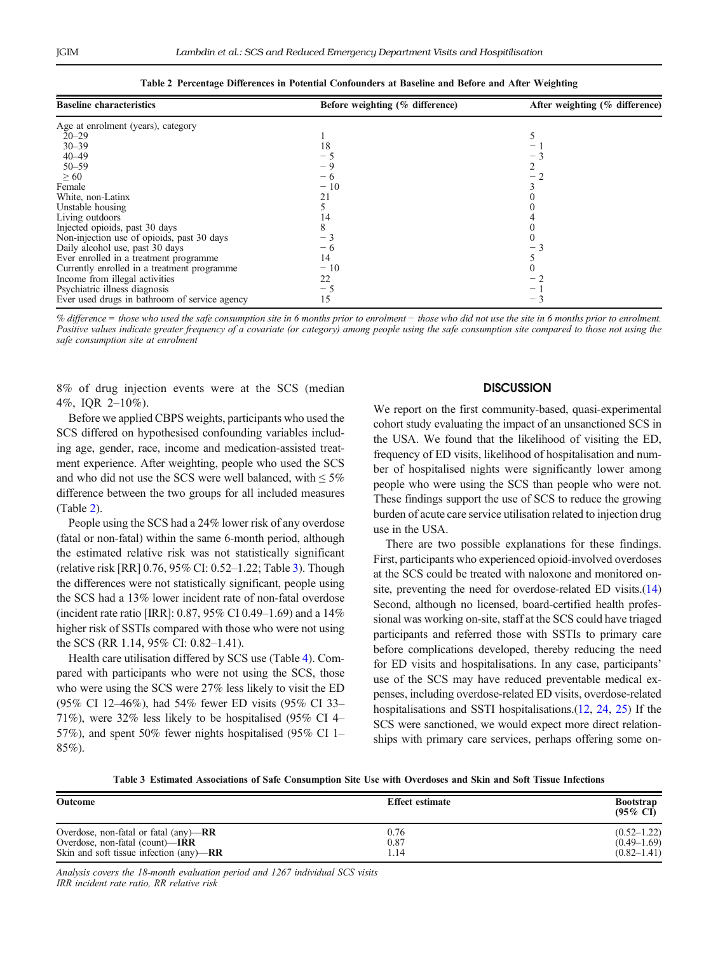| <b>Baseline characteristics</b>               | Before weighting (% difference) | After weighting (% difference) |
|-----------------------------------------------|---------------------------------|--------------------------------|
| Age at enrolment (years), category            |                                 |                                |
| $20 - 29$                                     |                                 |                                |
| $30 - 39$                                     | 18                              |                                |
| $40 - 49$                                     |                                 |                                |
| $50 - 59$                                     |                                 |                                |
| $\geq 60$                                     | $-6$                            |                                |
| Female                                        | $-10$                           |                                |
| White, non-Latinx                             | 21                              |                                |
| Unstable housing                              |                                 |                                |
| Living outdoors                               | 14                              |                                |
| Injected opioids, past 30 days                |                                 |                                |
| Non-injection use of opioids, past 30 days    |                                 |                                |
| Daily alcohol use, past 30 days               | $-6$                            |                                |
| Ever enrolled in a treatment programme        | 14                              |                                |
| Currently enrolled in a treatment programme   | $-10$                           |                                |
| Income from illegal activities                | 22                              |                                |
| Psychiatric illness diagnosis                 |                                 |                                |
| Ever used drugs in bathroom of service agency | 15                              | $-1$                           |

Table 2 Percentage Differences in Potential Confounders at Baseline and Before and After Weighting

% difference = those who used the safe consumption site in 6 months prior to enrolment − those who did not use the site in 6 months prior to enrolment. Positive values indicate greater frequency of a covariate (or category) among people using the safe consumption site compared to those not using the safe consumption site at enrolment

8% of drug injection events were at the SCS (median 4%, IQR 2–10%).

Before we applied CBPS weights, participants who used the SCS differed on hypothesised confounding variables including age, gender, race, income and medication-assisted treatment experience. After weighting, people who used the SCS and who did not use the SCS were well balanced, with  $\leq 5\%$ difference between the two groups for all included measures (Table 2).

People using the SCS had a 24% lower risk of any overdose (fatal or non-fatal) within the same 6-month period, although the estimated relative risk was not statistically significant (relative risk [RR] 0.76, 95% CI: 0.52–1.22; Table 3). Though the differences were not statistically significant, people using the SCS had a 13% lower incident rate of non-fatal overdose (incident rate ratio [IRR]: 0.87, 95% CI 0.49–1.69) and a 14% higher risk of SSTIs compared with those who were not using the SCS (RR 1.14, 95% CI: 0.82–1.41).

Health care utilisation differed by SCS use (Table [4\)](#page-5-0). Compared with participants who were not using the SCS, those who were using the SCS were 27% less likely to visit the ED (95% CI 12–46%), had 54% fewer ED visits (95% CI 33– 71%), were 32% less likely to be hospitalised (95% CI 4– 57%), and spent 50% fewer nights hospitalised (95% CI 1– 85%).

# **DISCUSSION**

We report on the first community-based, quasi-experimental cohort study evaluating the impact of an unsanctioned SCS in the USA. We found that the likelihood of visiting the ED, frequency of ED visits, likelihood of hospitalisation and number of hospitalised nights were significantly lower among people who were using the SCS than people who were not. These findings support the use of SCS to reduce the growing burden of acute care service utilisation related to injection drug use in the USA.

There are two possible explanations for these findings. First, participants who experienced opioid-involved overdoses at the SCS could be treated with naloxone and monitored onsite, preventing the need for overdose-related ED visits.[\(14\)](#page-6-0) Second, although no licensed, board-certified health professional was working on-site, staff at the SCS could have triaged participants and referred those with SSTIs to primary care before complications developed, thereby reducing the need for ED visits and hospitalisations. In any case, participants' use of the SCS may have reduced preventable medical expenses, including overdose-related ED visits, overdose-related hospitalisations and SSTI hospitalisations.([12](#page-6-0), [24](#page-6-0), [25\)](#page-6-0) If the SCS were sanctioned, we would expect more direct relationships with primary care services, perhaps offering some on-

Table 3 Estimated Associations of Safe Consumption Site Use with Overdoses and Skin and Soft Tissue Infections

| <b>Outcome</b>                                    | <b>Effect estimate</b> | <b>Bootstrap</b><br>$(95\% \text{ CI})$ |
|---------------------------------------------------|------------------------|-----------------------------------------|
| Overdose, non-fatal or fatal $\text{(any)}$ —RR   | 0.76                   | $(0.52 - 1.22)$                         |
| Overdose, non-fatal (count)— <b>IRR</b>           | 0.87                   | $(0.49 - 1.69)$                         |
| Skin and soft tissue infection $\text{(any)}$ —RR | 1.14                   | $(0.82 - 1.41)$                         |

Analysis covers the 18-month evaluation period and 1267 individual SCS visits IRR incident rate ratio, RR relative risk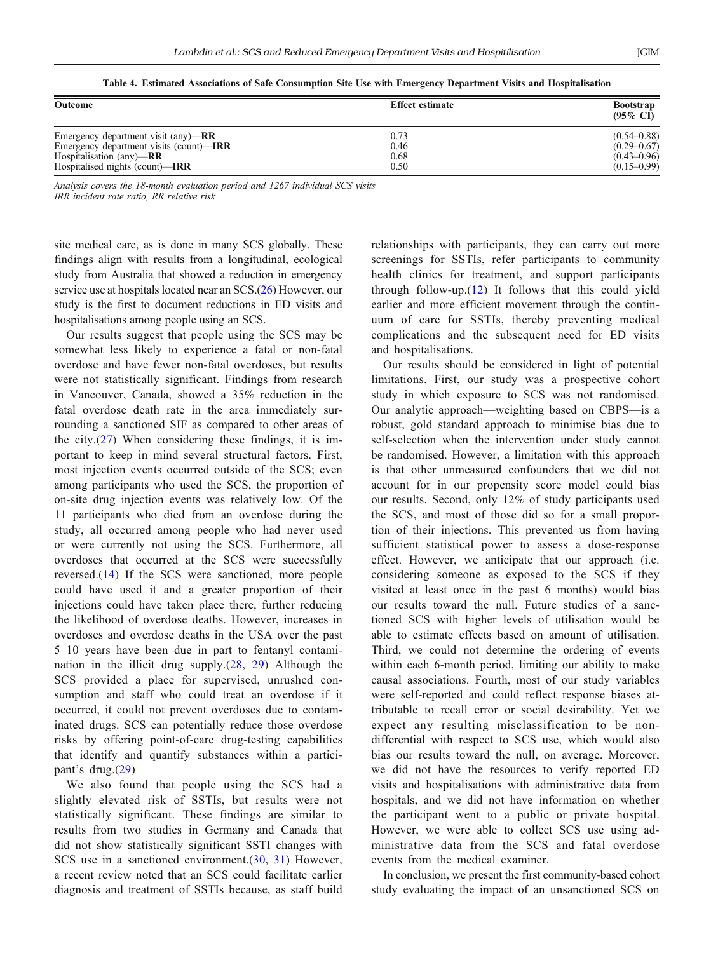|  |  |  |  |  |  | Table 4. Estimated Associations of Safe Consumption Site Use with Emergency Department Visits and Hospitalisation |
|--|--|--|--|--|--|-------------------------------------------------------------------------------------------------------------------|
|--|--|--|--|--|--|-------------------------------------------------------------------------------------------------------------------|

<span id="page-5-0"></span>

| <b>Outcome</b>                                | <b>Effect estimate</b> | <b>Bootstrap</b><br>$(95\% \text{ CI})$ |  |
|-----------------------------------------------|------------------------|-----------------------------------------|--|
| Emergency department visit $(\text{any})$ —RR | 0.73                   | $(0.54 - 0.88)$                         |  |
| Emergency department visits (count)-IRR       | 0.46                   | $(0.29 - 0.67)$                         |  |
| Hospitalisation $\text{(any)}$ —RR            | 0.68                   | $(0.43 - 0.96)$                         |  |
| Hospitalised nights (count)— <b>IRR</b>       | 0.50                   | $(0.15 - 0.99)$                         |  |

Analysis covers the 18-month evaluation period and 1267 individual SCS visits IRR incident rate ratio, RR relative risk

site medical care, as is done in many SCS globally. These findings align with results from a longitudinal, ecological study from Australia that showed a reduction in emergency service use at hospitals located near an SCS.[\(26](#page-6-0)) However, our study is the first to document reductions in ED visits and hospitalisations among people using an SCS.

Our results suggest that people using the SCS may be somewhat less likely to experience a fatal or non-fatal overdose and have fewer non-fatal overdoses, but results were not statistically significant. Findings from research in Vancouver, Canada, showed a 35% reduction in the fatal overdose death rate in the area immediately surrounding a sanctioned SIF as compared to other areas of the city. $(27)$  $(27)$  When considering these findings, it is important to keep in mind several structural factors. First, most injection events occurred outside of the SCS; even among participants who used the SCS, the proportion of on-site drug injection events was relatively low. Of the 11 participants who died from an overdose during the study, all occurred among people who had never used or were currently not using the SCS. Furthermore, all overdoses that occurred at the SCS were successfully reversed.([14](#page-6-0)) If the SCS were sanctioned, more people could have used it and a greater proportion of their injections could have taken place there, further reducing the likelihood of overdose deaths. However, increases in overdoses and overdose deaths in the USA over the past 5–10 years have been due in part to fentanyl contamination in the illicit drug supply. $(28, 29)$  $(28, 29)$  $(28, 29)$  $(28, 29)$  $(28, 29)$  Although the SCS provided a place for supervised, unrushed consumption and staff who could treat an overdose if it occurred, it could not prevent overdoses due to contaminated drugs. SCS can potentially reduce those overdose risks by offering point-of-care drug-testing capabilities that identify and quantify substances within a participant's drug.([29\)](#page-7-0)

We also found that people using the SCS had a slightly elevated risk of SSTIs, but results were not statistically significant. These findings are similar to results from two studies in Germany and Canada that did not show statistically significant SSTI changes with SCS use in a sanctioned environment.[\(30](#page-7-0), [31](#page-7-0)) However, a recent review noted that an SCS could facilitate earlier diagnosis and treatment of SSTIs because, as staff build relationships with participants, they can carry out more screenings for SSTIs, refer participants to community health clinics for treatment, and support participants through follow-up.([12](#page-6-0)) It follows that this could yield earlier and more efficient movement through the continuum of care for SSTIs, thereby preventing medical complications and the subsequent need for ED visits and hospitalisations.

Our results should be considered in light of potential limitations. First, our study was a prospective cohort study in which exposure to SCS was not randomised. Our analytic approach—weighting based on CBPS—is a robust, gold standard approach to minimise bias due to self-selection when the intervention under study cannot be randomised. However, a limitation with this approach is that other unmeasured confounders that we did not account for in our propensity score model could bias our results. Second, only 12% of study participants used the SCS, and most of those did so for a small proportion of their injections. This prevented us from having sufficient statistical power to assess a dose-response effect. However, we anticipate that our approach (i.e. considering someone as exposed to the SCS if they visited at least once in the past 6 months) would bias our results toward the null. Future studies of a sanctioned SCS with higher levels of utilisation would be able to estimate effects based on amount of utilisation. Third, we could not determine the ordering of events within each 6-month period, limiting our ability to make causal associations. Fourth, most of our study variables were self-reported and could reflect response biases attributable to recall error or social desirability. Yet we expect any resulting misclassification to be nondifferential with respect to SCS use, which would also bias our results toward the null, on average. Moreover, we did not have the resources to verify reported ED visits and hospitalisations with administrative data from hospitals, and we did not have information on whether the participant went to a public or private hospital. However, we were able to collect SCS use using administrative data from the SCS and fatal overdose events from the medical examiner.

In conclusion, we present the first community-based cohort study evaluating the impact of an unsanctioned SCS on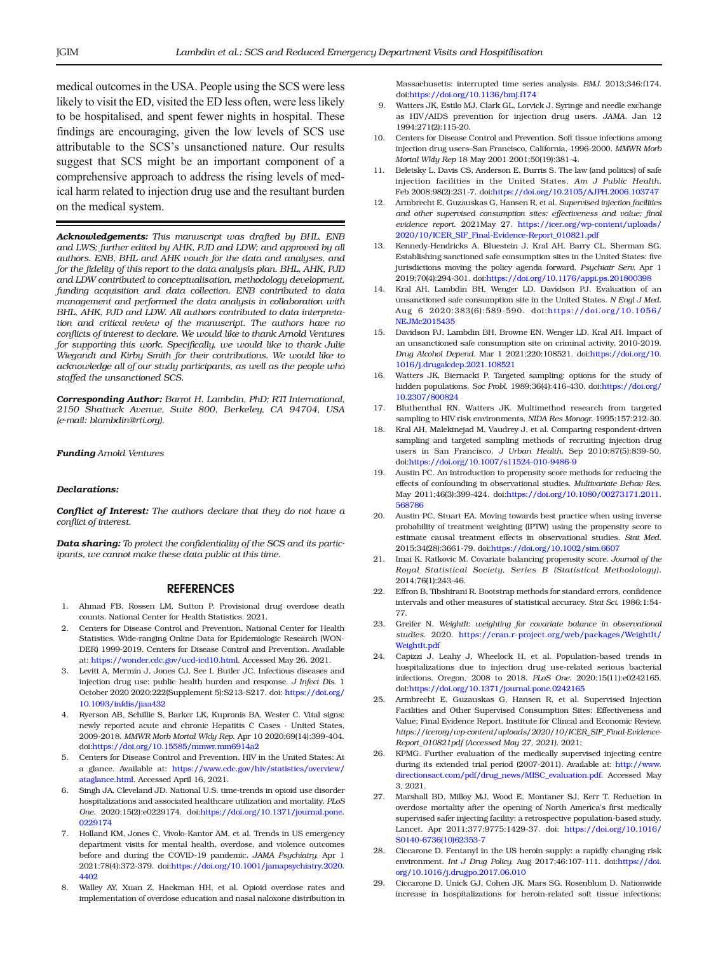<span id="page-6-0"></span>medical outcomes in the USA. People using the SCS were less likely to visit the ED, visited the ED less often, were less likely to be hospitalised, and spent fewer nights in hospital. These findings are encouraging, given the low levels of SCS use attributable to the SCS's unsanctioned nature. Our results suggest that SCS might be an important component of a comprehensive approach to address the rising levels of medical harm related to injection drug use and the resultant burden on the medical system.

Acknowledgements: This manuscript was drafted by BHL, ENB and LWS; further edited by AHK, PJD and LDW; and approved by all authors. ENB, BHL and AHK vouch for the data and analyses, and for the fidelity of this report to the data analysis plan. BHL, AHK, PJD and LDW contributed to conceptualisation, methodology development, funding acquisition and data collection. ENB contributed to data management and performed the data analysis in collaboration with BHL, AHK, PJD and LDW. All authors contributed to data interpretation and critical review of the manuscript. The authors have no conflicts of interest to declare. We would like to thank Arnold Ventures for supporting this work. Specifically, we would like to thank Julie Wiegandt and Kirby Smith for their contributions. We would like to acknowledge all of our study participants, as well as the people who staffed the unsanctioned SCS.

Corresponding Author: Barrot H. Lambdin, PhD; RTI International, 2150 Shattuck Avenue, Suite 800, Berkeley, CA 94704, USA (e-mail: blambdin@rti.org).

#### Funding Arnold Ventures

#### Declarations:

**Conflict of Interest:** The authors declare that they do not have a conflict of interest.

Data sharing: To protect the confidentiality of the SCS and its participants, we cannot make these data public at this time.

#### REFERENCES

- 1. Ahmad FB, Rossen LM, Sutton P. Provisional drug overdose death counts. National Center for Health Statistics. 2021.
- 2. Centers for Disease Control and Prevention, National Center for Health Statistics. Wide-ranging Online Data for Epidemiologic Research (WON-DER) 1999-2019. Centers for Disease Control and Prevention. Available at: [https://wonder.cdc.gov/ucd-icd10.html](http://dx.doi.org/https://wonder.cdc.gov/ucd-icd10.html). Accessed May 26, 2021.
- 3. Levitt A, Mermin J, Jones CJ, See I, Butler JC. Infectious diseases and injection drug use: public health burden and response. J Infect Dis. 1 October 2020 2020;222(Supplement 5):S213-S217. doi: [https://doi.org/](http://dx.doi.org/10.1093/infdis/jiaa432) [10.1093/infdis/jiaa432](http://dx.doi.org/10.1093/infdis/jiaa432)
- 4. Ryerson AB, Schillie S, Barker LK, Kupronis BA, Wester C. Vital signs: newly reported acute and chronic Hepatitis C Cases - United States, 2009-2018. MMWR Morb Mortal Wkly Rep. Apr 10 2020;69(14):399-404. doi:[https://doi.org/10.15585/mmwr.mm6914a2](http://dx.doi.org/10.15585/mmwr.mm6914a2)
- 5. Centers for Disease Control and Prevention. HIV in the United States: At a glance. Available at: [https://www.cdc.gov/hiv/statistics/overview/](http://dx.doi.org/https://www.cdc.gov/hiv/statistics/overview/ataglance.html) [ataglance.html.](http://dx.doi.org/https://www.cdc.gov/hiv/statistics/overview/ataglance.html) Accessed April 16, 2021.
- 6. Singh JA, Cleveland JD. National U.S. time-trends in opioid use disorder hospitalizations and associated healthcare utilization and mortality. PLoS One. 2020;15(2):e0229174. doi[:https://doi.org/10.1371/journal.pone.](http://dx.doi.org/10.1371/journal.pone.0229174) [0229174](http://dx.doi.org/10.1371/journal.pone.0229174)
- 7. Holland KM, Jones C, Vivolo-Kantor AM, et al. Trends in US emergency department visits for mental health, overdose, and violence outcomes before and during the COVID-19 pandemic. JAMA Psychiatry. Apr 1 2021;78(4):372-379. doi[:https://doi.org/10.1001/jamapsychiatry.2020.](http://dx.doi.org/10.1001/jamapsychiatry.2020.4402) [4402](http://dx.doi.org/10.1001/jamapsychiatry.2020.4402)
- 8. Walley AY, Xuan Z, Hackman HH, et al. Opioid overdose rates and implementation of overdose education and nasal naloxone distribution in

Massachusetts: interrupted time series analysis. BMJ. 2013;346:f174. doi:[https://doi.org/10.1136/bmj.f174](http://dx.doi.org/10.1136/bmj.f174)

- 9. Watters JK, Estilo MJ, Clark GL, Lorvick J. Syringe and needle exchange as HIV/AIDS prevention for injection drug users. JAMA. Jan 12 1994;271(2):115-20.
- 10. Centers for Disease Control and Prevention. Soft tissue infections among injection drug users–San Francisco, California, 1996-2000. MMWR Morb Mortal Wkly Rep 18 May 2001 2001;50(19):381-4.
- 11. Beletsky L, Davis CS, Anderson E, Burris S. The law (and politics) of safe injection facilities in the United States. Am J Public Health. Feb 2008;98(2):231-7. doi[:https://doi.org/10.2105/AJPH.2006.103747](http://dx.doi.org/10.2105/AJPH.2006.103747)
- 12. Armbrecht E, Guzauskas G, Hansen R, et al. Supervised injection facilities and other supervised consumption sites: effectiveness and value; final evidence report. 2021May 27. [https://icer.org/wp-content/uploads/](http://dx.doi.org/https://icer.org/wp-content/uploads/2020/10/ICER_SIF_Final-Evidence-Report_010821.pdf) [2020/10/ICER\\_SIF\\_Final-Evidence-Report\\_010821.pdf](http://dx.doi.org/https://icer.org/wp-content/uploads/2020/10/ICER_SIF_Final-Evidence-Report_010821.pdf)
- 13. Kennedy-Hendricks A, Bluestein J, Kral AH, Barry CL, Sherman SG. Establishing sanctioned safe consumption sites in the United States: five jurisdictions moving the policy agenda forward. Psuchiatr Serv. Apr 1 2019;70(4):294-301. doi:[https://doi.org/10.1176/appi.ps.201800398](http://dx.doi.org/10.1176/appi.ps.201800398)
- 14. Kral AH, Lambdin BH, Wenger LD, Davidson PJ. Evaluation of an unsanctioned safe consumption site in the United States. N Engl J Med. Aug 6 2020;383(6):589-590. doi:[https://doi.org/10.1056/](http://dx.doi.org/10.1056/NEJMc2015435) [NEJMc2015435](http://dx.doi.org/10.1056/NEJMc2015435)
- 15. Davidson PJ, Lambdin BH, Browne EN, Wenger LD, Kral AH. Impact of an unsanctioned safe consumption site on criminal activity, 2010-2019. Drug Alcohol Depend. Mar 1 2021;220:108521. doi:[https://doi.org/10.](http://dx.doi.org/10.1016/j.drugalcdep.2021.108521) [1016/j.drugalcdep.2021.108521](http://dx.doi.org/10.1016/j.drugalcdep.2021.108521)
- 16. Watters JK, Biernacki P. Targeted sampling: options for the study of hidden populations. Soc Probl. 1989;36(4):416-430. doi[:https://doi.org/](http://dx.doi.org/10.2307/800824) [10.2307/800824](http://dx.doi.org/10.2307/800824)
- 17. Bluthenthal RN, Watters JK. Multimethod research from targeted sampling to HIV risk environments. NIDA Res Monogr. 1995;157:212-30.
- 18. Kral AH, Malekinejad M, Vaudrey J, et al. Comparing respondent-driven sampling and targeted sampling methods of recruiting injection drug users in San Francisco. J Urban Health. Sep 2010;87(5):839-50. doi[:https://doi.org/10.1007/s11524-010-9486-9](http://dx.doi.org/10.1007/s11524-010-9486-9)
- 19. Austin PC. An introduction to propensity score methods for reducing the effects of confounding in observational studies. Multivariate Behav Res. May 2011;46(3):399-424. doi[:https://doi.org/10.1080/00273171.2011.](http://dx.doi.org/10.1080/00273171.2011.568786) [568786](http://dx.doi.org/10.1080/00273171.2011.568786)
- 20. Austin PC, Stuart EA. Moving towards best practice when using inverse probability of treatment weighting (IPTW) using the propensity score to estimate causal treatment effects in observational studies. Stat Med. 2015;34(28):3661-79. doi[:https://doi.org/10.1002/sim.6607](http://dx.doi.org/10.1002/sim.6607)
- 21. Imai K, Ratkovic M. Covariate balancing propensity score. Journal of the Royal Statistical Society, Series B (Statistical Methodology). 2014;76(1):243-46.
- 22. Effron B, Tibshirani R. Bootstrap methods for standard errors, confidence intervals and other measures of statistical accuracy. Stat Sci. 1986;1:54- 77.
- 23. Greifer N. WeightIt: weighting for covariate balance in observational studies. 2020. [https://cran.r-project.org/web/packages/WeightIt/](http://dx.doi.org/https://cran.r-project.org/web/packages/WeightIt/WeightIt.pdf) [WeightIt.pdf](http://dx.doi.org/https://cran.r-project.org/web/packages/WeightIt/WeightIt.pdf)
- 24. Capizzi J, Leahy J, Wheelock H, et al. Population-based trends in hospitalizations due to injection drug use-related serious bacterial infections, Oregon, 2008 to 2018. PLoS One. 2020;15(11):e0242165. doi[:https://doi.org/10.1371/journal.pone.0242165](http://dx.doi.org/10.1371/journal.pone.0242165)
- 25. Armbrecht E, Guzauskas G, Hansen R, et al. Supervised Injection Facilities and Other Supervised Consumption Sites: Effectiveness and Value; Final Evidence Report. Institute for Clincal and Economic Review. https://icerorg/wp-content/uploads/2020/10/ICER\_SIF\_Final-Evidence-Report\_010821pdf (Accessed May 27, 2021). 2021;
- 26. KPMG. Further evaluation of the medically supervised injecting centre during its extended trial period (2007-2011). Available at: [http://www.](http://dx.doi.org/http://www.directionsact.com/pdf/drug_news/MISC_evaluation.pdf) [directionsact.com/pdf/drug\\_news/MISC\\_evaluation.pdf.](http://dx.doi.org/http://www.directionsact.com/pdf/drug_news/MISC_evaluation.pdf) Accessed May 3, 2021.
- 27. Marshall BD, Milloy MJ, Wood E, Montaner SJ, Kerr T. Reduction in overdose mortality after the opening of North America's first medically supervised safer injecting facility: a retrospective population-based study. Lancet. Apr 2011;377:9775:1429-37. doi: [https://doi.org/10.1016/](http://dx.doi.org/10.1016/S0140-6736(10)62353-7) [S0140-6736\(10\)62353-7](http://dx.doi.org/10.1016/S0140-6736(10)62353-7)
- 28. Ciccarone D. Fentanyl in the US heroin supply: a rapidly changing risk environment. Int J Drug Policy. Aug 2017;46:107-111. doi:[https://doi.](http://dx.doi.org/10.1016/j.drugpo.2017.06.010) [org/10.1016/j.drugpo.2017.06.010](http://dx.doi.org/10.1016/j.drugpo.2017.06.010)
- 29. Ciccarone D, Unick GJ, Cohen JK, Mars SG, Rosenblum D. Nationwide increase in hospitalizations for heroin-related soft tissue infections: